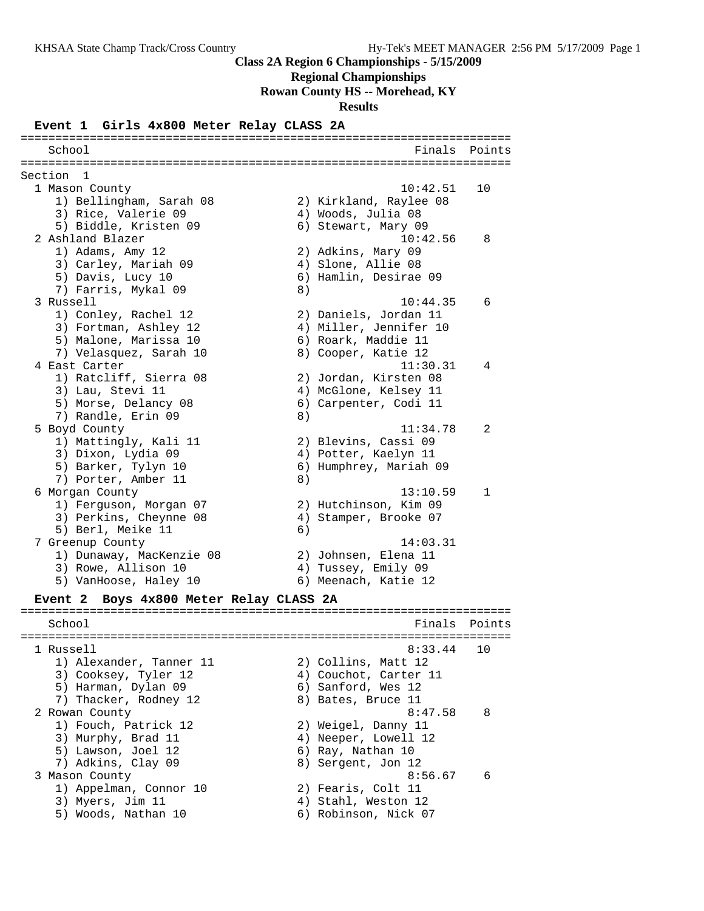## **Class 2A Region 6 Championships - 5/15/2009**

**Regional Championships**

**Rowan County HS -- Morehead, KY**

**Results**

#### **Event 1 Girls 4x800 Meter Relay CLASS 2A**

======================================================================= School **Finals** Points **Points** ======================================================================= Section 1 1 Mason County 10:42.51 10 1) Bellingham, Sarah 08 2) Kirkland, Raylee 08 3) Rice, Valerie 09  $\begin{array}{ccc} 4 & \text{Woods, Julia} \end{array}$ 5) Biddle, Kristen 09 (6) Stewart, Mary 09 2 Ashland Blazer 10:42.56 8 1) Adams, Amy 12 2) Adkins, Mary 09 3) Carley, Mariah 09  $\qquad \qquad$  4) Slone, Allie 08 5) Davis, Lucy 10 6) Hamlin, Desirae 09 7) Farris, Mykal 09 (8) 3 Russell 10:44.35 6 1) Conley, Rachel 12 2) Daniels, Jordan 11 3) Fortman, Ashley 12 4) Miller, Jennifer 10 5) Malone, Marissa 10  $\qquad \qquad$  6) Roark, Maddie 11 7) Velasquez, Sarah 10 8) Cooper, Katie 12 4 East Carter 11:30.31 4 1) Ratcliff, Sierra 08 2) Jordan, Kirsten 08 3) Lau, Stevi 11 4) McGlone, Kelsey 11 5) Morse, Delancy 08 6) Carpenter, Codi 11 7) Randle, Erin 09 8) 5 Boyd County 11:34.78 2 1) Mattingly, Kali 11 2) Blevins, Cassi 09 3) Dixon, Lydia 09 1988 (4) Potter, Kaelyn 11 5) Barker, Tylyn 10 6) Humphrey, Mariah 09 7) Porter, Amber 11 8) 6 Morgan County 13:10.59 1 1) Ferguson, Morgan 07 2) Hutchinson, Kim 09 3) Perkins, Cheynne 08 4) Stamper, Brooke 07 5) Berl, Meike 11 6) 7 Greenup County 14:03.31 1) Dunaway, MacKenzie 08 2) Johnsen, Elena 11 3) Rowe, Allison 10 (4) Tussey, Emily 09 5) VanHoose, Haley 10 6) Meenach, Katie 12 **Event 2 Boys 4x800 Meter Relay CLASS 2A** ======================================================================= School **Finals** Points **Points** Points **Points** Points **Points** Points **Points** Points **Points** Points **Points Points Points Points Points Points Points Points Points Points Points Points Points P** ======================================================================= 1 Russell 8:33.44 10 1) Alexander, Tanner 11 and 2) Collins, Matt 12 3) Cooksey, Tyler 12 4) Couchot, Carter 11 5) Harman, Dylan 09 6) Sanford, Wes 12 7) Thacker, Rodney 12 and 8) Bates, Bruce 11 2 Rowan County 2 Rowan County 2 Rowan County 1) Fouch, Patrick 12 2) Weigel, Danny 11 3) Murphy, Brad 11 4) Neeper, Lowell 12 5) Lawson, Joel 12 6) Ray, Nathan 10 7) Adkins, Clay 09 8) Sergent, Jon 12 3 Mason County 6:56.67 6 Mason County 1) Appelman, Connor 10 2) Fearis, Colt 11 3) Myers, Jim 11 (4) Stahl, Weston 12

5) Woods, Nathan 10 6) Robinson, Nick 07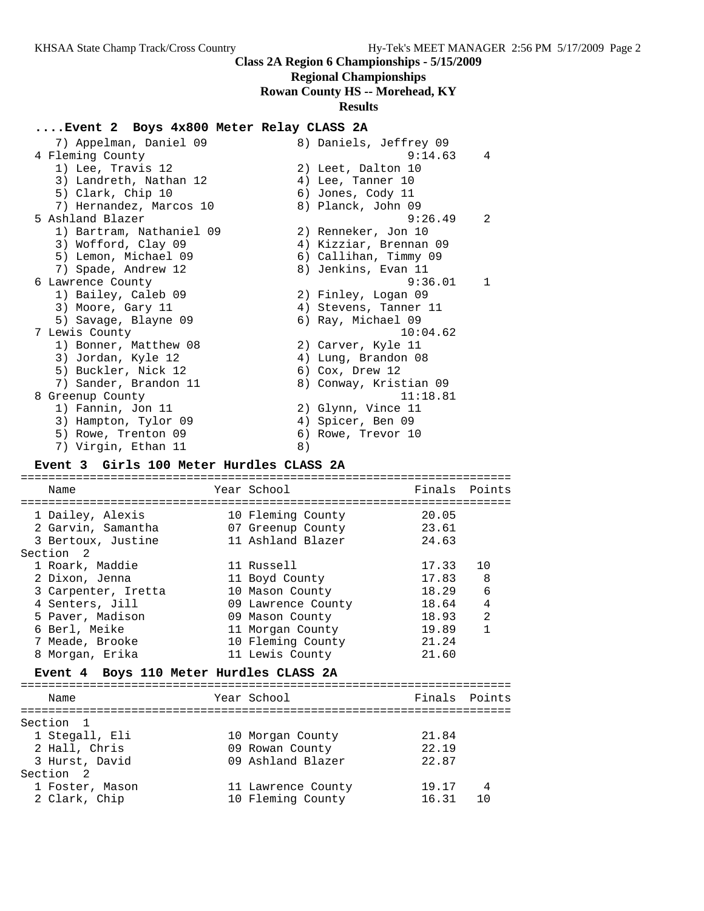# **Class 2A Region 6 Championships - 5/15/2009**

# **Regional Championships**

**Rowan County HS -- Morehead, KY**

## **Results**

# **....Event 2 Boys 4x800 Meter Relay CLASS 2A**

| 7) Appelman, Daniel 09<br>4 Fleming County |    | 8) Daniels, Jeffrey 09<br>9:14.63 | $\overline{4}$ |
|--------------------------------------------|----|-----------------------------------|----------------|
| 1) Lee, Travis 12                          |    | 2) Leet, Dalton 10                |                |
|                                            |    |                                   |                |
| 3) Landreth, Nathan 12                     |    | 4) Lee, Tanner 10                 |                |
| 5) Clark, Chip 10                          |    | 6) Jones, Cody 11                 |                |
| 7) Hernandez, Marcos 10                    |    | 8) Planck, John 09                |                |
| 5 Ashland Blazer                           |    | 9:26.49                           | $\mathcal{L}$  |
| 1) Bartram, Nathaniel 09                   |    | 2) Renneker, Jon 10               |                |
| 3) Wofford, Clay 09                        |    | 4) Kizziar, Brennan 09            |                |
| 5) Lemon, Michael 09                       |    | 6) Callihan, Timmy 09             |                |
| 7) Spade, Andrew 12                        |    | 8) Jenkins, Evan 11               |                |
| 6 Lawrence County                          |    | 9:36.01                           | $\mathbf{1}$   |
| 1) Bailey, Caleb 09                        |    | 2) Finley, Logan 09               |                |
| 3) Moore, Gary 11                          |    | 4) Stevens, Tanner 11             |                |
| 5) Savage, Blayne 09                       |    | 6) Ray, Michael 09                |                |
| 7 Lewis County                             |    | 10:04.62                          |                |
| 1) Bonner, Matthew 08                      |    | 2) Carver, Kyle 11                |                |
| 3) Jordan, Kyle 12                         | 4) | Lung, Brandon 08                  |                |
| 5) Buckler, Nick 12                        |    | 6) Cox, Drew 12                   |                |
| 7) Sander, Brandon 11                      |    | 8) Conway, Kristian 09            |                |
| 8 Greenup County                           |    | 11:18.81                          |                |
| 1) Fannin, Jon 11                          |    | 2) Glynn, Vince 11                |                |
| 3) Hampton, Tylor 09                       |    | 4) Spicer, Ben 09                 |                |
| 5) Rowe, Trenton 09                        |    | 6) Rowe, Trevor 10                |                |
|                                            |    |                                   |                |
| 7) Virgin, Ethan 11                        | 8) |                                   |                |

## **Event 3 Girls 100 Meter Hurdles CLASS 2A**

| Name                                    |  | Year School        | Finals        | Points         |  |  |
|-----------------------------------------|--|--------------------|---------------|----------------|--|--|
|                                         |  |                    |               |                |  |  |
| 1 Dailey, Alexis                        |  | 10 Fleming County  | 20.05         |                |  |  |
| 2 Garvin, Samantha                      |  | 07 Greenup County  | 23.61         |                |  |  |
| 3 Bertoux, Justine                      |  | 11 Ashland Blazer  | 24.63         |                |  |  |
| Section 2                               |  |                    |               |                |  |  |
| 1 Roark, Maddie                         |  | 11 Russell         | 17.33         | 10             |  |  |
| 2 Dixon, Jenna                          |  | 11 Boyd County     | 17.83         | 8              |  |  |
| 3 Carpenter, Iretta                     |  | 10 Mason County    | 18.29         | 6              |  |  |
| 4 Senters, Jill                         |  | 09 Lawrence County | 18.64         | 4              |  |  |
| 5 Paver, Madison                        |  | 09 Mason County    | 18.93         | $\mathfrak{D}$ |  |  |
| 6 Berl, Meike                           |  | 11 Morgan County   | 19.89         | 1              |  |  |
| 7 Meade, Brooke                         |  | 10 Fleming County  | 21.24         |                |  |  |
| 8 Morgan, Erika                         |  | 11 Lewis County    | 21.60         |                |  |  |
| Event 4 Boys 110 Meter Hurdles CLASS 2A |  |                    |               |                |  |  |
| Name                                    |  | Year School        | Finals Points |                |  |  |
|                                         |  |                    |               |                |  |  |

| Section 1       |                    |       |  |  |  |  |
|-----------------|--------------------|-------|--|--|--|--|
| 1 Stegall, Eli  | 10 Morgan County   | 21.84 |  |  |  |  |
| 2 Hall, Chris   | 09 Rowan County    | 22.19 |  |  |  |  |
| 3 Hurst, David  | 09 Ashland Blazer  | 22.87 |  |  |  |  |
| Section 2       |                    |       |  |  |  |  |
| 1 Foster, Mason | 11 Lawrence County | 19.17 |  |  |  |  |
| 2 Clark, Chip   | 10 Fleming County  | 16.31 |  |  |  |  |